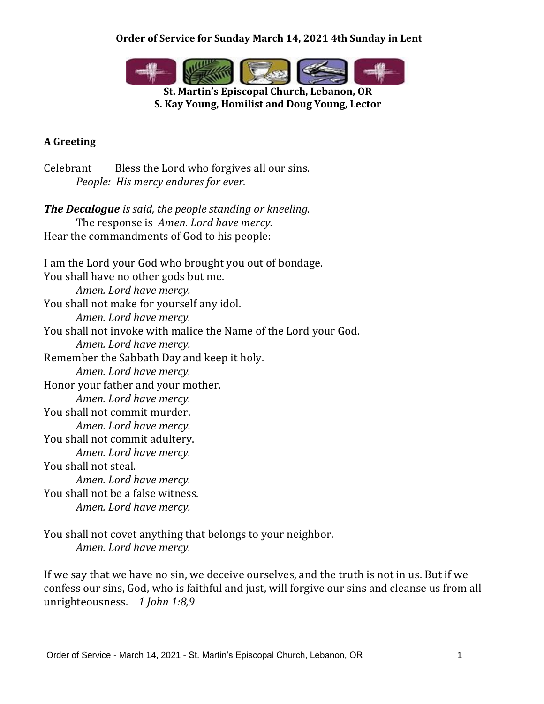

**St. Martin's Episcopal Church, Lebanon, OR S. Kay Young, Homilist and Doug Young, Lector**

# **A Greeting**

Celebrant Bless the Lord who forgives all our sins. *People: His mercy endures for ever.*

*The Decalogue is said, the people standing or kneeling.* The response is *Amen. Lord have mercy.* Hear the commandments of God to his people:

I am the Lord your God who brought you out of bondage. You shall have no other gods but me. *Amen. Lord have mercy.* You shall not make for yourself any idol. *Amen. Lord have mercy.* You shall not invoke with malice the Name of the Lord your God. *Amen. Lord have mercy.* Remember the Sabbath Day and keep it holy. *Amen. Lord have mercy.* Honor your father and your mother. *Amen. Lord have mercy.* You shall not commit murder. *Amen. Lord have mercy.* You shall not commit adultery. *Amen. Lord have mercy.* You shall not steal. *Amen. Lord have mercy.* You shall not be a false witness. *Amen. Lord have mercy.*

You shall not covet anything that belongs to your neighbor. *Amen. Lord have mercy.*

If we say that we have no sin, we deceive ourselves, and the truth is not in us. But if we confess our sins, God, who is faithful and just, will forgive our sins and cleanse us from all unrighteousness. *1 John 1:8,9*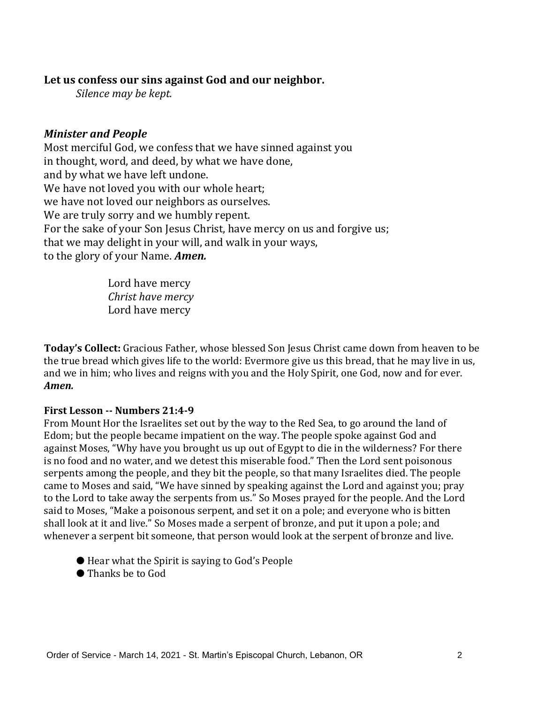## **Let us confess our sins against God and our neighbor.**

*Silence may be kept.*

## *Minister and People*

Most merciful God, we confess that we have sinned against you in thought, word, and deed, by what we have done, and by what we have left undone. We have not loved you with our whole heart; we have not loved our neighbors as ourselves. We are truly sorry and we humbly repent. For the sake of your Son Jesus Christ, have mercy on us and forgive us; that we may delight in your will, and walk in your ways, to the glory of your Name. *Amen.*

> Lord have mercy *Christ have mercy* Lord have mercy

**Today's Collect:** Gracious Father, whose blessed Son Jesus Christ came down from heaven to be the true bread which gives life to the world: Evermore give us this bread, that he may live in us, and we in him; who lives and reigns with you and the Holy Spirit, one God, now and for ever. *Amen.*

#### **First Lesson -- Numbers 21:4-9**

From Mount Hor the Israelites set out by the way to the Red Sea, to go around the land of Edom; but the people became impatient on the way. The people spoke against God and against Moses, "Why have you brought us up out of Egypt to die in the wilderness? For there is no food and no water, and we detest this miserable food." Then the Lord sent poisonous serpents among the people, and they bit the people, so that many Israelites died. The people came to Moses and said, "We have sinned by speaking against the Lord and against you; pray to the Lord to take away the serpents from us." So Moses prayed for the people. And the Lord said to Moses, "Make a poisonous serpent, and set it on a pole; and everyone who is bitten shall look at it and live." So Moses made a serpent of bronze, and put it upon a pole; and whenever a serpent bit someone, that person would look at the serpent of bronze and live.

- Hear what the Spirit is saying to God's People
- Thanks be to God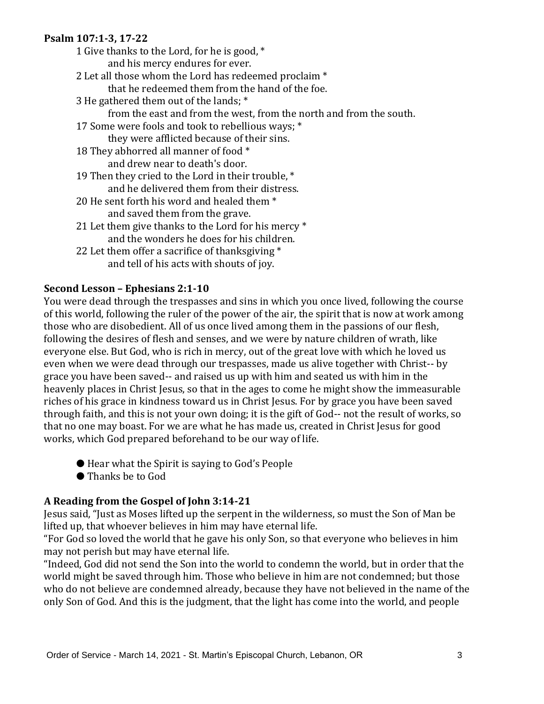#### **Psalm 107:1-3, 17-22**

- 1 Give thanks to the Lord, for he is good, \* and his mercy endures for ever. 2 Let all those whom the Lord has redeemed proclaim \* that he redeemed them from the hand of the foe. 3 He gathered them out of the lands; \* from the east and from the west, from the north and from the south. 17 Some were fools and took to rebellious ways; \* they were afflicted because of their sins. 18 They abhorred all manner of food \* and drew near to death's door. 19 Then they cried to the Lord in their trouble, \* and he delivered them from their distress. 20 He sent forth his word and healed them  $*$ and saved them from the grave. 21 Let them give thanks to the Lord for his mercy  $*$ and the wonders he does for his children.
- 22 Let them offer a sacrifice of thanksgiving \* and tell of his acts with shouts of joy.

# **Second Lesson – Ephesians 2:1-10**

You were dead through the trespasses and sins in which you once lived, following the course of this world, following the ruler of the power of the air, the spirit that is now at work among those who are disobedient. All of us once lived among them in the passions of our flesh, following the desires of flesh and senses, and we were by nature children of wrath, like everyone else. But God, who is rich in mercy, out of the great love with which he loved us even when we were dead through our trespasses, made us alive together with Christ-- by grace you have been saved-- and raised us up with him and seated us with him in the heavenly places in Christ Jesus, so that in the ages to come he might show the immeasurable riches of his grace in kindness toward us in Christ Jesus. For by grace you have been saved through faith, and this is not your own doing; it is the gift of God-- not the result of works, so that no one may boast. For we are what he has made us, created in Christ Jesus for good works, which God prepared beforehand to be our way of life.

- Hear what the Spirit is saying to God's People
- Thanks be to God

# **A Reading from the Gospel of John 3:14-21**

Jesus said, "Just as Moses lifted up the serpent in the wilderness, so must the Son of Man be lifted up, that whoever believes in him may have eternal life.

"For God so loved the world that he gave his only Son, so that everyone who believes in him may not perish but may have eternal life.

"Indeed, God did not send the Son into the world to condemn the world, but in order that the world might be saved through him. Those who believe in him are not condemned; but those who do not believe are condemned already, because they have not believed in the name of the only Son of God. And this is the judgment, that the light has come into the world, and people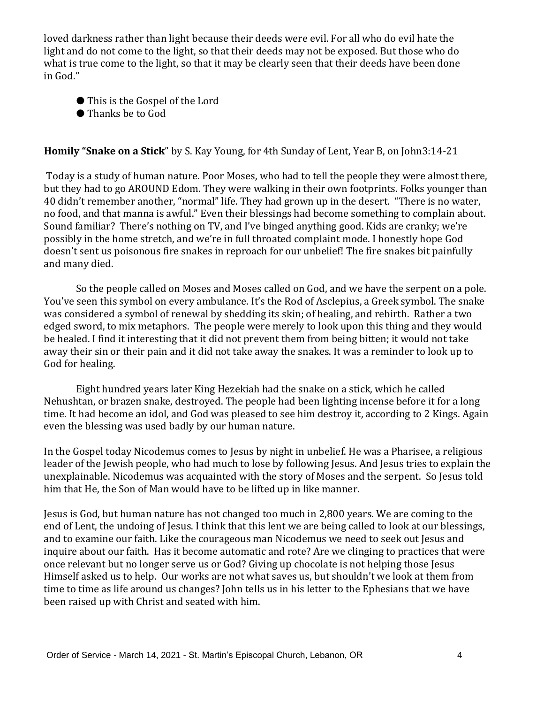loved darkness rather than light because their deeds were evil. For all who do evil hate the light and do not come to the light, so that their deeds may not be exposed. But those who do what is true come to the light, so that it may be clearly seen that their deeds have been done in God."

- This is the Gospel of the Lord
- Thanks be to God

#### **Homily "Snake on a Stick**" by S. Kay Young, for 4th Sunday of Lent, Year B, on John3:14-21

Today is a study of human nature. Poor Moses, who had to tell the people they were almost there, but they had to go AROUND Edom. They were walking in their own footprints. Folks younger than 40 didn't remember another, "normal" life. They had grown up in the desert. "There is no water, no food, and that manna is awful." Even their blessings had become something to complain about. Sound familiar? There's nothing on TV, and I've binged anything good. Kids are cranky; we're possibly in the home stretch, and we're in full throated complaint mode. I honestly hope God doesn't sent us poisonous fire snakes in reproach for our unbelief! The fire snakes bit painfully and many died.

So the people called on Moses and Moses called on God, and we have the serpent on a pole. You've seen this symbol on every ambulance. It's the Rod of Asclepius, a Greek symbol. The snake was considered a symbol of renewal by shedding its skin; of healing, and rebirth. Rather a two edged sword, to mix metaphors. The people were merely to look upon this thing and they would be healed. I find it interesting that it did not prevent them from being bitten; it would not take away their sin or their pain and it did not take away the snakes. It was a reminder to look up to God for healing.

 Eight hundred years later King Hezekiah had the snake on a stick, which he called Nehushtan, or brazen snake, destroyed. The people had been lighting incense before it for a long time. It had become an idol, and God was pleased to see him destroy it, according to 2 Kings. Again even the blessing was used badly by our human nature.

In the Gospel today Nicodemus comes to Jesus by night in unbelief. He was a Pharisee, a religious leader of the Jewish people, who had much to lose by following Jesus. And Jesus tries to explain the unexplainable. Nicodemus was acquainted with the story of Moses and the serpent. So Jesus told him that He, the Son of Man would have to be lifted up in like manner.

Jesus is God, but human nature has not changed too much in 2,800 years. We are coming to the end of Lent, the undoing of Jesus. I think that this lent we are being called to look at our blessings, and to examine our faith. Like the courageous man Nicodemus we need to seek out Jesus and inquire about our faith. Has it become automatic and rote? Are we clinging to practices that were once relevant but no longer serve us or God? Giving up chocolate is not helping those Jesus Himself asked us to help. Our works are not what saves us, but shouldn't we look at them from time to time as life around us changes? John tells us in his letter to the Ephesians that we have been raised up with Christ and seated with him.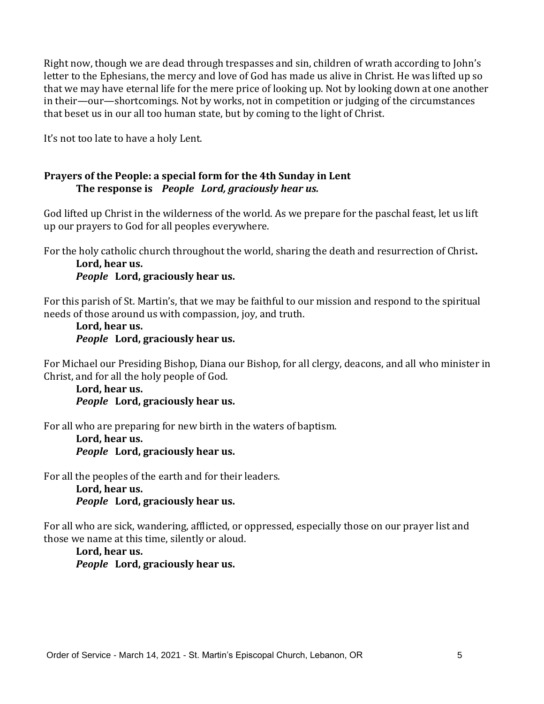Right now, though we are dead through trespasses and sin, children of wrath according to John's letter to the Ephesians, the mercy and love of God has made us alive in Christ. He was lifted up so that we may have eternal life for the mere price of looking up. Not by looking down at one another in their—our—shortcomings. Not by works, not in competition or judging of the circumstances that beset us in our all too human state, but by coming to the light of Christ.

It's not too late to have a holy Lent.

#### **Prayers of the People: a special form for the 4th Sunday in Lent The response is** *People Lord, graciously hear us.*

God lifted up Christ in the wilderness of the world. As we prepare for the paschal feast, let us lift up our prayers to God for all peoples everywhere.

For the holy catholic church throughout the world, sharing the death and resurrection of Christ**.**

**Lord, hear us.** *People* **Lord, graciously hear us.**

For this parish of St. Martin's, that we may be faithful to our mission and respond to the spiritual needs of those around us with compassion, joy, and truth.

#### **Lord, hear us.** *People* **Lord, graciously hear us.**

For Michael our Presiding Bishop, Diana our Bishop, for all clergy, deacons, and all who minister in Christ, and for all the holy people of God.

**Lord, hear us.** *People* **Lord, graciously hear us.**

For all who are preparing for new birth in the waters of baptism.

**Lord, hear us.** *People* **Lord, graciously hear us.**

For all the peoples of the earth and for their leaders.

**Lord, hear us.** *People* **Lord, graciously hear us.**

For all who are sick, wandering, afflicted, or oppressed, especially those on our prayer list and those we name at this time, silently or aloud.

**Lord, hear us.** *People* **Lord, graciously hear us.**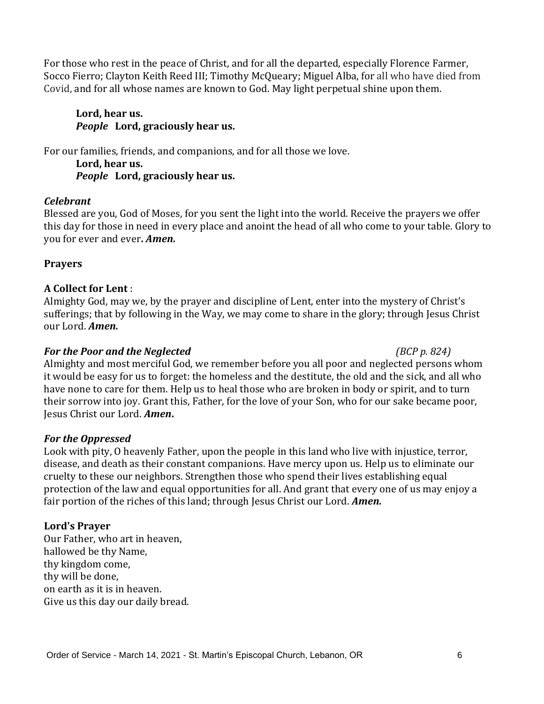For those who rest in the peace of Christ, and for all the departed, especially Florence Farmer, Socco Fierro; Clayton Keith Reed III; Timothy McQueary; Miguel Alba, for all who have died from Covid, and for all whose names are known to God. May light perpetual shine upon them.

## **Lord, hear us.** *People* **Lord, graciously hear us.**

For our families, friends, and companions, and for all those we love.

**Lord, hear us.** *People* **Lord, graciously hear us.**

# *Celebrant*

Blessed are you, God of Moses, for you sent the light into the world. Receive the prayers we offer this day for those in need in every place and anoint the head of all who come to your table. Glory to you for ever and ever**.** *Amen.*

# **Prayers**

# **A Collect for Lent** :

Almighty God, may we, by the prayer and discipline of Lent, enter into the mystery of Christ's sufferings; that by following in the Way, we may come to share in the glory; through Jesus Christ our Lord. *Amen.*

## *For the Poor and the Neglected (BCP p. 824)*

Almighty and most merciful God, we remember before you all poor and neglected persons whom it would be easy for us to forget: the homeless and the destitute, the old and the sick, and all who have none to care for them. Help us to heal those who are broken in body or spirit, and to turn their sorrow into joy. Grant this, Father, for the love of your Son, who for our sake became poor, Jesus Christ our Lord. *Amen***.**

# *For the Oppressed*

Look with pity, O heavenly Father, upon the people in this land who live with injustice, terror, disease, and death as their constant companions. Have mercy upon us. Help us to eliminate our cruelty to these our neighbors. Strengthen those who spend their lives establishing equal protection of the law and equal opportunities for all. And grant that every one of us may enjoy a fair portion of the riches of this land; through Jesus Christ our Lord. *Amen.*

# **Lord's Prayer**

Our Father, who art in heaven, hallowed be thy Name, thy kingdom come, thy will be done, on earth as it is in heaven. Give us this day our daily bread.